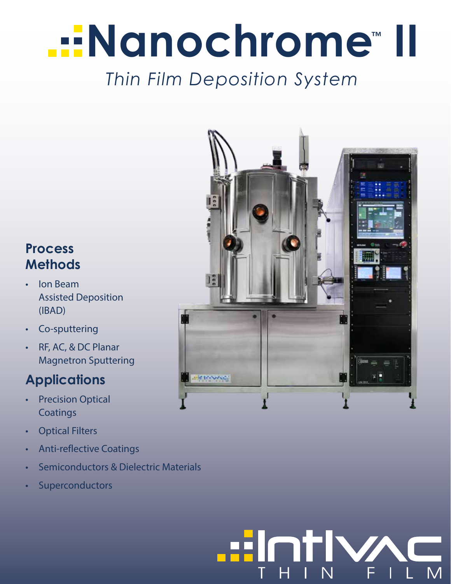# **Nanochrome™ II** *Thin Film Deposition System*

### **Process Methods**

- Ion Beam Assisted Deposition (IBAD)
- Co-sputtering
- RF, AC, & DC Planar Magnetron Sputtering

### **Applications**

- Precision Optical **Coatings**
- Optical Filters
- Anti-reflective Coatings
- Semiconductors & Dielectric Materials
- **Superconductors**



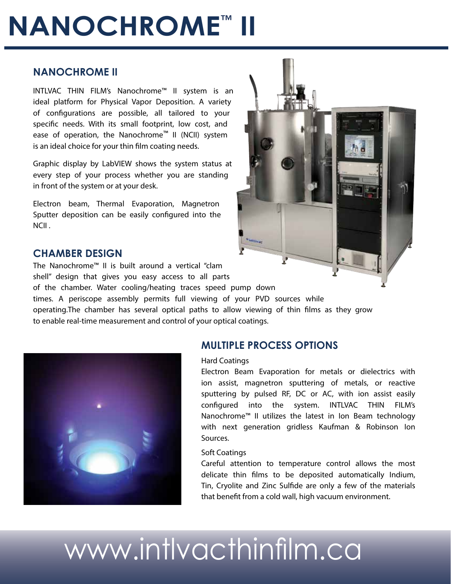# **NANOCHROME™ II**

### **NANOCHROME II**

INTLVAC THIN FILM's Nanochrome™ II system is an ideal platform for Physical Vapor Deposition. A variety of configurations are possible, all tailored to your specific needs. With its small footprint, low cost, and ease of operation, the Nanochrome™ II (NCII) system is an ideal choice for your thin film coating needs.

Graphic display by LabVIEW shows the system status at every step of your process whether you are standing in front of the system or at your desk.

Electron beam, Thermal Evaporation, Magnetron Sputter deposition can be easily configured into the NCII .

#### **CHAMBER DESIGN**

The Nanochrome™ II is built around a vertical "clam shell" design that gives you easy access to all parts

of the chamber. Water cooling/heating traces speed pump down

times. A periscope assembly permits full viewing of your PVD sources while

operating.The chamber has several optical paths to allow viewing of thin films as they grow to enable real-time measurement and control of your optical coatings.



### **MULTIPLE PROCESS OPTIONS**

#### Hard Coatings

Electron Beam Evaporation for metals or dielectrics with ion assist, magnetron sputtering of metals, or reactive sputtering by pulsed RF, DC or AC, with ion assist easily configured into the system. INTLVAC THIN FILM's Nanochrome™ II utilizes the latest in Ion Beam technology with next generation gridless Kaufman & Robinson Ion Sources.

#### Soft Coatings

Careful attention to temperature control allows the most delicate thin films to be deposited automatically Indium, Tin, Cryolite and Zinc Sulfide are only a few of the materials that benefit from a cold wall, high vacuum environment.

## www.intlvacthinfilm.ca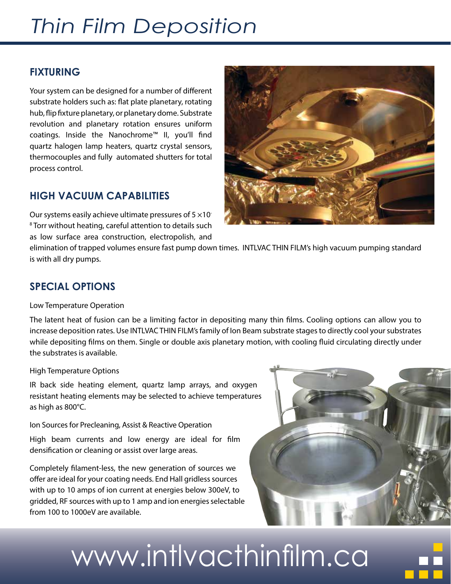### *Thin Film Deposition*

### **FIXTURING**

Your system can be designed for a number of different substrate holders such as: flat plate planetary, rotating hub, flip fixture planetary, or planetary dome. Substrate revolution and planetary rotation ensures uniform coatings. Inside the Nanochrome™ II, you'll find quartz halogen lamp heaters, quartz crystal sensors, thermocouples and fully automated shutters for total process control.

### **HIGH VACUUM CAPABILITIES**

Our systems easily achieve ultimate pressures of  $5 \times 10^{-1}$ 8 Torr without heating, careful attention to details such as low surface area construction, electropolish, and



elimination of trapped volumes ensure fast pump down times. INTLVAC THIN FILM's high vacuum pumping standard is with all dry pumps.

### **SPECIAL OPTIONS**

#### Low Temperature Operation

The latent heat of fusion can be a limiting factor in depositing many thin films. Cooling options can allow you to increase deposition rates. Use INTLVAC THIN FILM's family of Ion Beam substrate stages to directly cool your substrates while depositing films on them. Single or double axis planetary motion, with cooling fluid circulating directly under the substrates is available.

High Temperature Options

IR back side heating element, quartz lamp arrays, and oxygen resistant heating elements may be selected to achieve temperatures as high as 800°C.

Ion Sources for Precleaning, Assist & Reactive Operation

High beam currents and low energy are ideal for film densification or cleaning or assist over large areas.

Completely filament-less, the new generation of sources we offer are ideal for your coating needs. End Hall gridless sources with up to 10 amps of ion current at energies below 300eV, to gridded, RF sources with up to 1 amp and ion energies selectable from 100 to 1000eV are available.



# www.intlvacthinfilm.ca